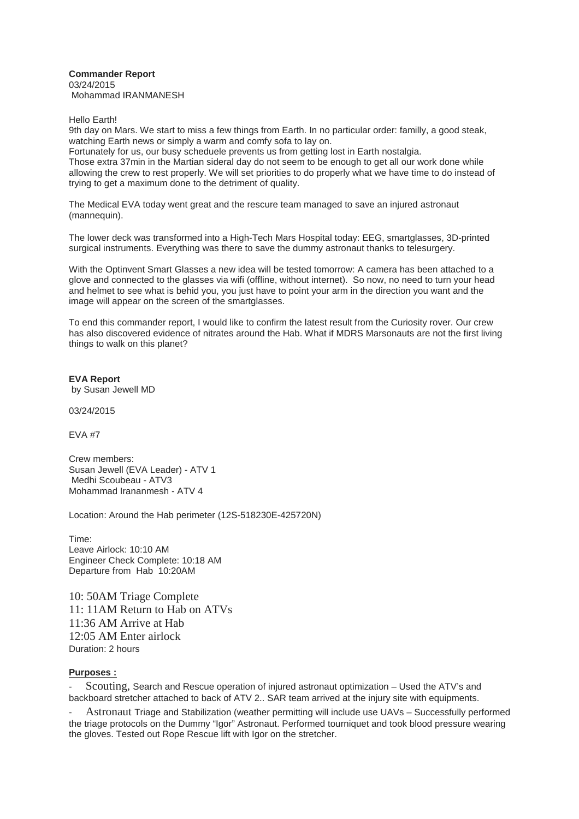## **Commander Report**  03/24/2015 Mohammad IRANMANESH

Hello Earth!

9th day on Mars. We start to miss a few things from Earth. In no particular order: familly, a good steak, watching Earth news or simply a warm and comfy sofa to lay on.

Fortunately for us, our busy scheduele prevents us from getting lost in Earth nostalgia. Those extra 37min in the Martian sideral day do not seem to be enough to get all our work done while allowing the crew to rest properly. We will set priorities to do properly what we have time to do instead of trying to get a maximum done to the detriment of quality.

The Medical EVA today went great and the rescure team managed to save an injured astronaut (mannequin).

The lower deck was transformed into a High-Tech Mars Hospital today: EEG, smartglasses, 3D-printed surgical instruments. Everything was there to save the dummy astronaut thanks to telesurgery.

With the Optinvent Smart Glasses a new idea will be tested tomorrow: A camera has been attached to a glove and connected to the glasses via wifi (offline, without internet). So now, no need to turn your head and helmet to see what is behid you, you just have to point your arm in the direction you want and the image will appear on the screen of the smartglasses.

To end this commander report, I would like to confirm the latest result from the Curiosity rover. Our crew has also discovered evidence of nitrates around the Hab. What if MDRS Marsonauts are not the first living things to walk on this planet?

**EVA Report**  by Susan Jewell MD

03/24/2015

 $FVA$ #7

Crew members: Susan Jewell (EVA Leader) - ATV 1 Medhi Scoubeau - ATV3 Mohammad Irananmesh - ATV 4

Location: Around the Hab perimeter (12S-518230E-425720N)

Time: Leave Airlock: 10:10 AM Engineer Check Complete: 10:18 AM Departure from Hab 10:20AM

10: 50AM Triage Complete 11: 11AM Return to Hab on ATVs 11:36 AM Arrive at Hab 12:05 AM Enter airlock Duration: 2 hours

## **Purposes :**

- Scouting, Search and Rescue operation of injured astronaut optimization – Used the ATV's and backboard stretcher attached to back of ATV 2.. SAR team arrived at the injury site with equipments.

- Astronaut Triage and Stabilization (weather permitting will include use UAVs – Successfully performed the triage protocols on the Dummy "Igor" Astronaut. Performed tourniquet and took blood pressure wearing the gloves. Tested out Rope Rescue lift with Igor on the stretcher.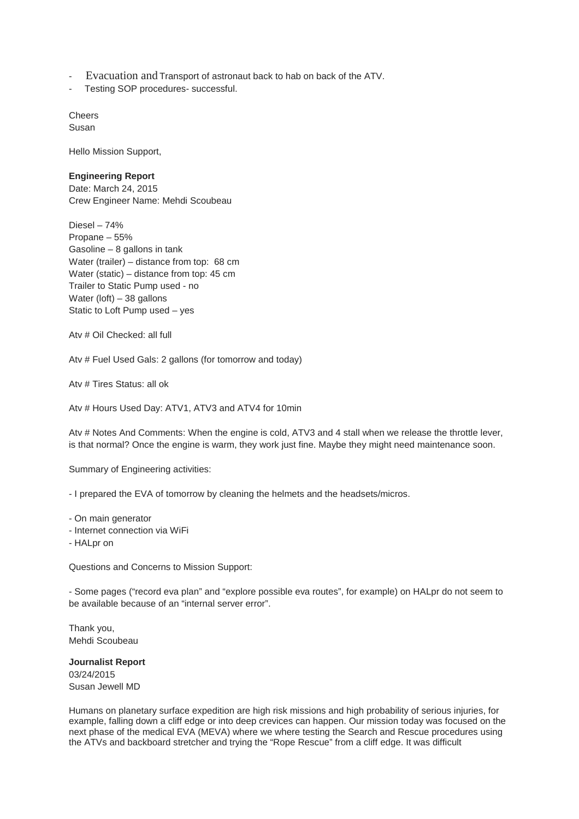- Evacuation and Transport of astronaut back to hab on back of the ATV.
- Testing SOP procedures- successful.

**Cheers** Susan

Hello Mission Support,

## **Engineering Report**

Date: March 24, 2015 Crew Engineer Name: Mehdi Scoubeau

Diesel – 74% Propane – 55% Gasoline – 8 gallons in tank Water (trailer) – distance from top: 68 cm Water (static) – distance from top: 45 cm Trailer to Static Pump used - no Water (loft) – 38 gallons Static to Loft Pump used – yes

Atv # Oil Checked: all full

Atv # Fuel Used Gals: 2 gallons (for tomorrow and today)

Atv # Tires Status: all ok

Atv # Hours Used Day: ATV1, ATV3 and ATV4 for 10min

Atv # Notes And Comments: When the engine is cold, ATV3 and 4 stall when we release the throttle lever, is that normal? Once the engine is warm, they work just fine. Maybe they might need maintenance soon.

Summary of Engineering activities:

- I prepared the EVA of tomorrow by cleaning the helmets and the headsets/micros.

- On main generator

- Internet connection via WiFi

- HALpr on

Questions and Concerns to Mission Support:

- Some pages ("record eva plan" and "explore possible eva routes", for example) on HALpr do not seem to be available because of an "internal server error".

Thank you, Mehdi Scoubeau

**Journalist Report**  03/24/2015 Susan Jewell MD

Humans on planetary surface expedition are high risk missions and high probability of serious injuries, for example, falling down a cliff edge or into deep crevices can happen. Our mission today was focused on the next phase of the medical EVA (MEVA) where we where testing the Search and Rescue procedures using the ATVs and backboard stretcher and trying the "Rope Rescue" from a cliff edge. It was difficult